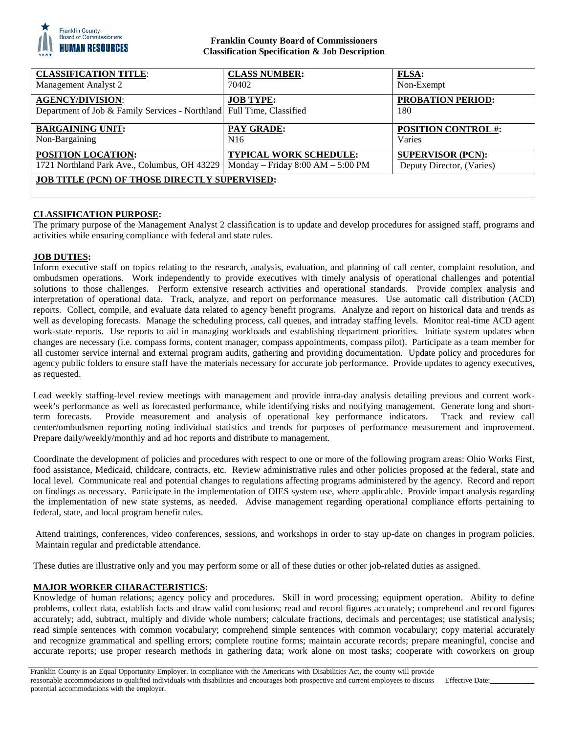

## **Franklin County Board of Commissioners Classification Specification & Job Description**

| <b>CLASSIFICATION TITLE:</b>                                                                     | <b>CLASS NUMBER:</b>                  | <b>FLSA:</b>                    |
|--------------------------------------------------------------------------------------------------|---------------------------------------|---------------------------------|
| Management Analyst 2                                                                             | 70402                                 | Non-Exempt                      |
| <b>AGENCY/DIVISION:</b><br>Department of Job & Family Services - Northland Full Time, Classified | <b>JOB TYPE:</b>                      | <b>PROBATION PERIOD:</b><br>180 |
| <b>BARGAINING UNIT:</b>                                                                          | <b>PAY GRADE:</b>                     | <b>POSITION CONTROL #:</b>      |
| Non-Bargaining                                                                                   | N <sub>16</sub>                       | Varies                          |
| POSITION LOCATION:                                                                               | <b>TYPICAL WORK SCHEDULE:</b>         | <b>SUPERVISOR (PCN):</b>        |
| 1721 Northland Park Ave., Columbus, OH 43229                                                     | Monday – Friday $8:00$ AM – $5:00$ PM | Deputy Director, (Varies)       |
| <b>JOB TITLE (PCN) OF THOSE DIRECTLY SUPERVISED:</b>                                             |                                       |                                 |

## **CLASSIFICATION PURPOSE:**

The primary purpose of the Management Analyst 2 classification is to update and develop procedures for assigned staff, programs and activities while ensuring compliance with federal and state rules.

#### **JOB DUTIES:**

Inform executive staff on topics relating to the research, analysis, evaluation, and planning of call center, complaint resolution, and ombudsmen operations. Work independently to provide executives with timely analysis of operational challenges and potential solutions to those challenges. Perform extensive research activities and operational standards. Provide complex analysis and interpretation of operational data. Track, analyze, and report on performance measures. Use automatic call distribution (ACD) reports. Collect, compile, and evaluate data related to agency benefit programs. Analyze and report on historical data and trends as well as developing forecasts. Manage the scheduling process, call queues, and intraday staffing levels. Monitor real-time ACD agent work-state reports. Use reports to aid in managing workloads and establishing department priorities. Initiate system updates when changes are necessary (i.e. compass forms, content manager, compass appointments, compass pilot). Participate as a team member for all customer service internal and external program audits, gathering and providing documentation. Update policy and procedures for agency public folders to ensure staff have the materials necessary for accurate job performance. Provide updates to agency executives, as requested.

Lead weekly staffing-level review meetings with management and provide intra-day analysis detailing previous and current workweek's performance as well as forecasted performance, while identifying risks and notifying management. Generate long and shortterm forecasts. Provide measurement and analysis of operational key performance indicators. Track and review call center/ombudsmen reporting noting individual statistics and trends for purposes of performance measurement and improvement. Prepare daily/weekly/monthly and ad hoc reports and distribute to management.

Coordinate the development of policies and procedures with respect to one or more of the following program areas: Ohio Works First, food assistance, Medicaid, childcare, contracts, etc. Review administrative rules and other policies proposed at the federal, state and local level. Communicate real and potential changes to regulations affecting programs administered by the agency. Record and report on findings as necessary. Participate in the implementation of OIES system use, where applicable. Provide impact analysis regarding the implementation of new state systems, as needed. Advise management regarding operational compliance efforts pertaining to federal, state, and local program benefit rules.

Attend trainings, conferences, video conferences, sessions, and workshops in order to stay up-date on changes in program policies. Maintain regular and predictable attendance.

These duties are illustrative only and you may perform some or all of these duties or other job-related duties as assigned.

## **MAJOR WORKER CHARACTERISTICS:**

Knowledge of human relations; agency policy and procedures. Skill in word processing; equipment operation. Ability to define problems, collect data, establish facts and draw valid conclusions; read and record figures accurately; comprehend and record figures accurately; add, subtract, multiply and divide whole numbers; calculate fractions, decimals and percentages; use statistical analysis; read simple sentences with common vocabulary; comprehend simple sentences with common vocabulary; copy material accurately and recognize grammatical and spelling errors; complete routine forms; maintain accurate records; prepare meaningful, concise and accurate reports; use proper research methods in gathering data; work alone on most tasks; cooperate with coworkers on group